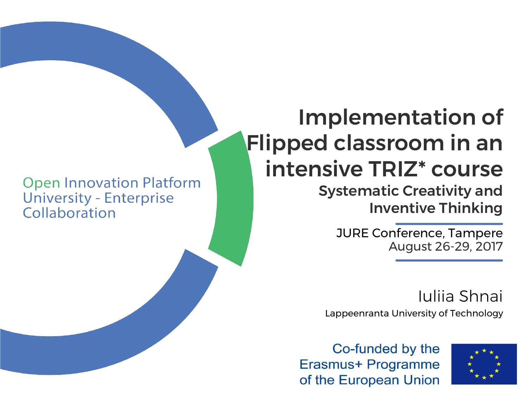**Open Innovation Platform University - Enterprise** Collaboration

# Implementation of Flipped classroom in an intensive TRIZ\* course

## Systematic Creativity and Inventive Thinking

JURE Conference, Tampere August 26-29, 2017

Lappeenranta University of Technology Iuliia Shnai

Co-funded by the Erasmus+ Programme of the European Union

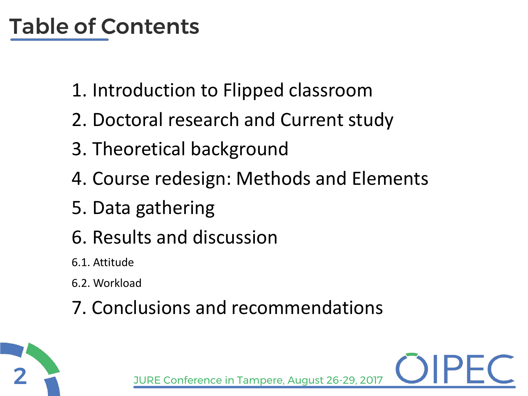# Table of Contents

- 1. Introduction to Flipped classroom
- 2. Doctoral research and Current study
- 3. Theoretical background
- 4. Course redesign: Methods and Elements
- 5. Data gathering
- 6. Results and discussion
- 6.1. Attitude
- 6.2. Workload
- 7. Conclusions and recommendations

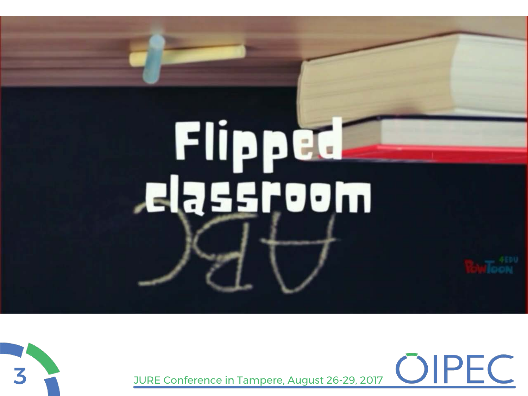# Flipped<br>Lassroom



3 JURE Conference in Tampere, August 26-29, 2017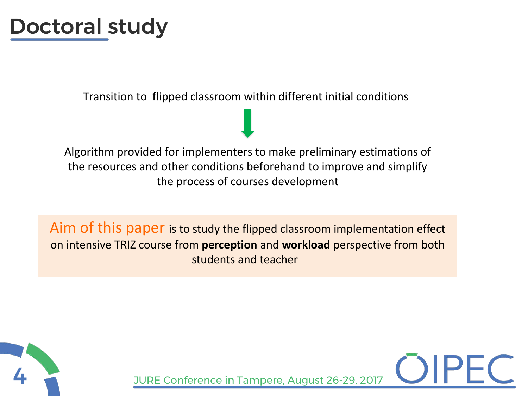## Doctoral study

Transition to flipped classroom within different initial conditions

Algorithm provided for implementers to make preliminary estimations of the resources and other conditions beforehand to improve and simplify the process of courses development

Aim of this paper is to study the flipped classroom implementation effect on intensive TRIZ course from **perception** and **workload** perspective from both students and teacher

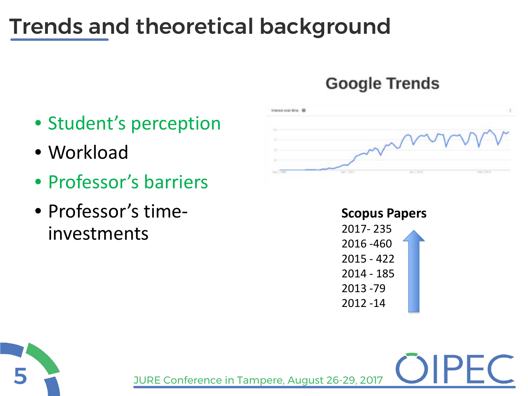# Trends and theoretical background

## **Google Trends**

- Student's perception
- Workload
- Professor's barriers
- Professor's timeinvestments



**Scopus Papers** 2017- 235 2016 -460 2015 - 422 2014 - 185 2013 -79 2012 -14

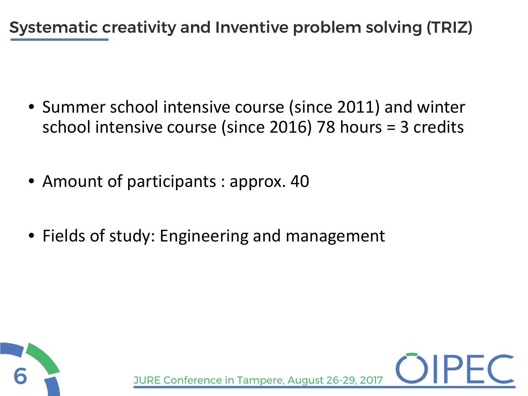Systematic creativity and Inventive problem solving (TRIZ)

- Summer school intensive course (since 2011) and winter school intensive course (since 2016) 78 hours = 3 credits
- Amount of participants : approx. 40
- Fields of study: Engineering and management

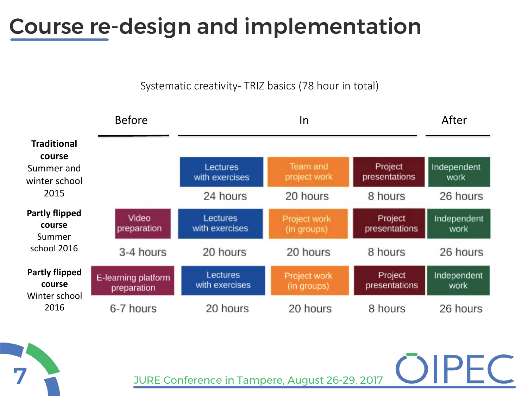## Course re-design and implementation

Systematic creativity- TRIZ basics (78 hour in total)



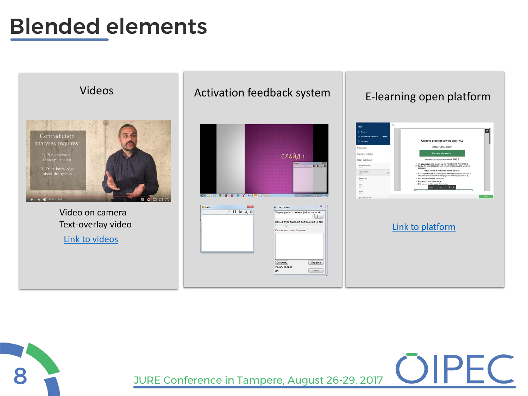## Blended elements



8 JURE Conference in Tampere, August 26-29, 2017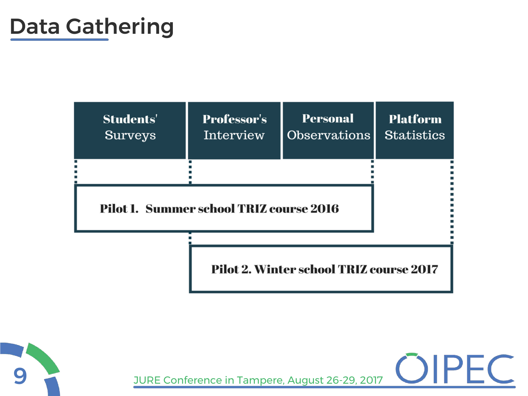## Data Gathering





9 JURE Conference in Tampere, August 26-29, 2017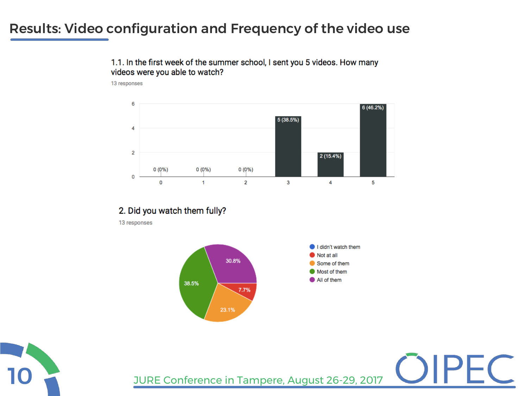### Results: Video configuration and Frequency of the video use

1.1. In the first week of the summer school, I sent you 5 videos. How many videos were you able to watch?

13 responses



#### 2. Did you watch them fully?

13 responses



10 JURE Conference in Tampere, August 26-29, 2017

 $\vdash$  (

![](_page_9_Picture_7.jpeg)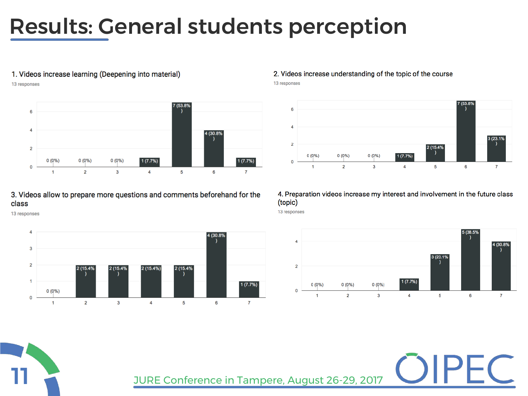## Results: General students perception

#### 1. Videos increase learning (Deepening into material)

13 responses

![](_page_10_Figure_3.jpeg)

#### 3. Videos allow to prepare more questions and comments beforehand for the class

13 responses

![](_page_10_Figure_6.jpeg)

#### 2. Videos increase understanding of the topic of the course

13 responses

![](_page_10_Figure_9.jpeg)

#### 4. Preparation videos increase my interest and involvement in the future class (topic)

13 responses

![](_page_10_Figure_12.jpeg)

![](_page_10_Picture_13.jpeg)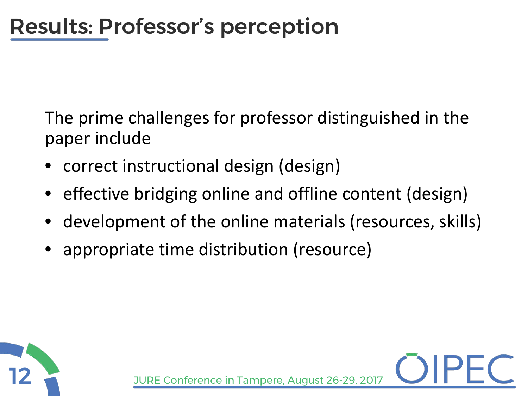The prime challenges for professor distinguished in the paper include

- correct instructional design (design)
- effective bridging online and offline content (design)
- development of the online materials (resources, skills)
- appropriate time distribution (resource)

![](_page_11_Picture_6.jpeg)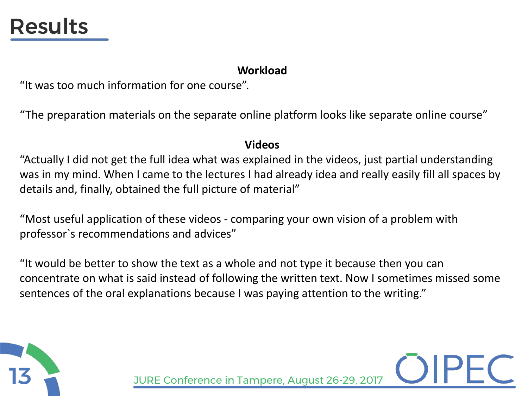## Results

#### **Workload**

"It was too much information for one course".

"The preparation materials on the separate online platform looks like separate online course"

#### **Videos**

"Actually I did not get the full idea what was explained in the videos, just partial understanding was in my mind. When I came to the lectures I had already idea and really easily fill all spaces by details and, finally, obtained the full picture of material"

"Most useful application of these videos - comparing your own vision of a problem with professor`s recommendations and advices"

"It would be better to show the text as a whole and not type it because then you can concentrate on what is said instead of following the written text. Now I sometimes missed some sentences of the oral explanations because I was paying attention to the writing."

![](_page_12_Picture_8.jpeg)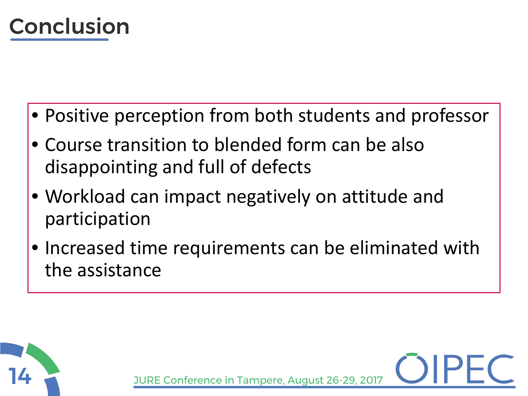![](_page_13_Picture_0.jpeg)

- Positive perception from both students and professor
- Course transition to blended form can be also disappointing and full of defects
- Workload can impact negatively on attitude and participation
- Increased time requirements can be eliminated with the assistance

![](_page_13_Picture_5.jpeg)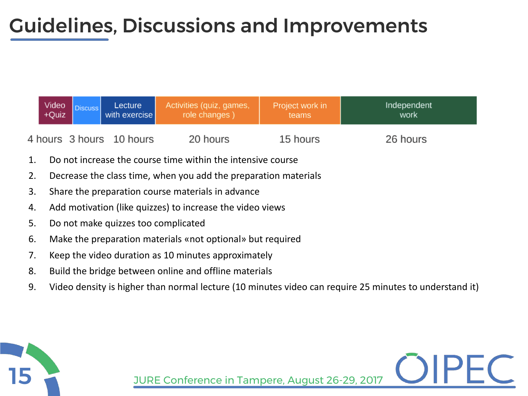## Guidelines, Discussions and Improvements

| Video<br>+Quiz | Lecture<br>with exercise | Activities (quiz, games,<br>role changes) | Project work in<br>teams | Independent<br>work |
|----------------|--------------------------|-------------------------------------------|--------------------------|---------------------|
|                | 4 hours 3 hours 10 hours | 20 hours                                  | 15 hours                 | 26 hours            |

- 1. Do not increase the course time within the intensive course
- 2. Decrease the class time, when you add the preparation materials
- 3. Share the preparation course materials in advance
- 4. Add motivation (like quizzes) to increase the video views
- 5. Do not make quizzes too complicated
- 6. Make the preparation materials «not optional» but required
- 7. Keep the video duration as 10 minutes approximately
- 8. Build the bridge between online and offline materials
- 9. Video density is higher than normal lecture (10 minutes video can require 25 minutes to understand it)

![](_page_14_Picture_11.jpeg)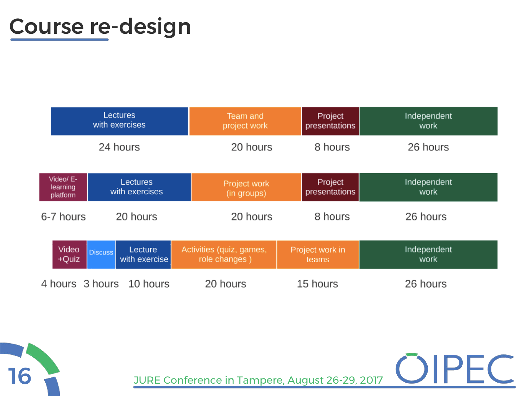## Course re-design

|                                   | Lectures<br>with exercises                 | Team and<br>project work                  | Project<br>presentations | Independent<br>work |
|-----------------------------------|--------------------------------------------|-------------------------------------------|--------------------------|---------------------|
|                                   | 24 hours                                   | 20 hours                                  | 8 hours                  | 26 hours            |
| Video/ E-<br>learning<br>platform | <b>Lectures</b><br>with exercises          | Project work<br>(in groups)               | Project<br>presentations | Independent<br>work |
| 6-7 hours                         | 20 hours                                   | 20 hours                                  | 8 hours                  | 26 hours            |
| Video<br>+Quiz                    | Lecture<br><b>Discuss</b><br>with exercise | Activities (quiz, games,<br>role changes) | Project work in<br>teams | Independent<br>work |
|                                   | 4 hours 3 hours 10 hours                   | 20 hours                                  | 15 hours                 | 26 hours            |

![](_page_15_Picture_2.jpeg)

TO JURE Conference in Tampere, August 26-29, 2017